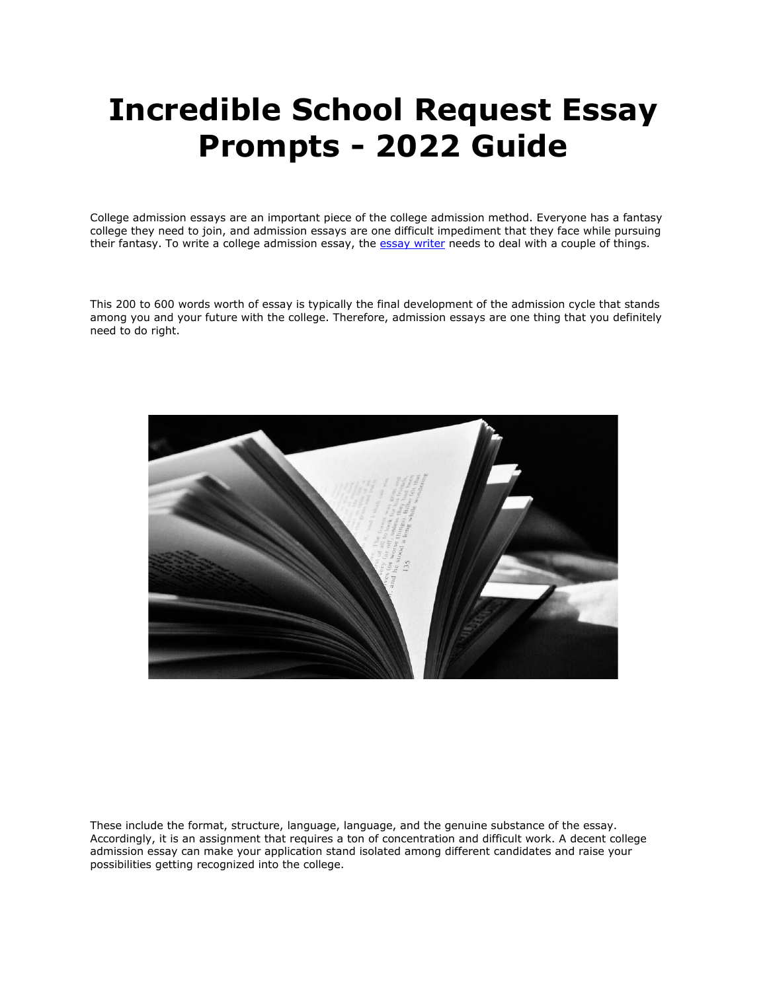# **Incredible School Request Essay Prompts - 2022 Guide**

College admission essays are an important piece of the college admission method. Everyone has a fantasy college they need to join, and admission essays are one difficult impediment that they face while pursuing their fantasy. To write a college admission essay, the [essay writer](https://essayhours.com/) needs to deal with a couple of things.

This 200 to 600 words worth of essay is typically the final development of the admission cycle that stands among you and your future with the college. Therefore, admission essays are one thing that you definitely need to do right.



These include the format, structure, language, language, and the genuine substance of the essay. Accordingly, it is an assignment that requires a ton of concentration and difficult work. A decent college admission essay can make your application stand isolated among different candidates and raise your possibilities getting recognized into the college.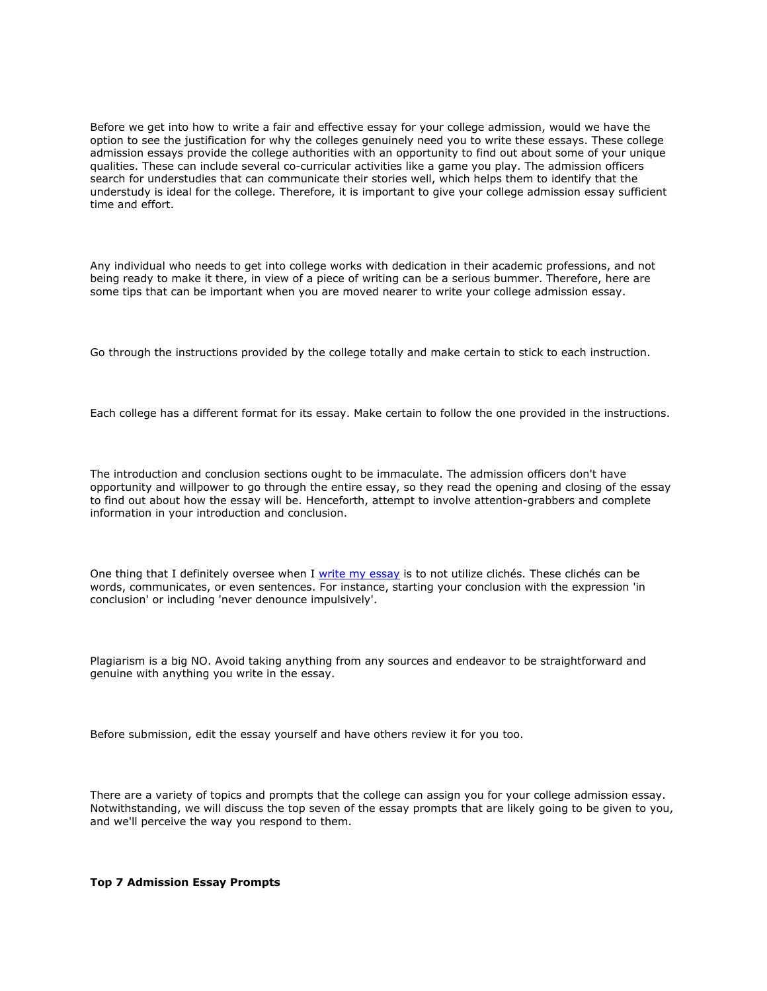Before we get into how to write a fair and effective essay for your college admission, would we have the option to see the justification for why the colleges genuinely need you to write these essays. These college admission essays provide the college authorities with an opportunity to find out about some of your unique qualities. These can include several co-curricular activities like a game you play. The admission officers search for understudies that can communicate their stories well, which helps them to identify that the understudy is ideal for the college. Therefore, it is important to give your college admission essay sufficient time and effort.

Any individual who needs to get into college works with dedication in their academic professions, and not being ready to make it there, in view of a piece of writing can be a serious bummer. Therefore, here are some tips that can be important when you are moved nearer to write your college admission essay.

Go through the instructions provided by the college totally and make certain to stick to each instruction.

Each college has a different format for its essay. Make certain to follow the one provided in the instructions.

The introduction and conclusion sections ought to be immaculate. The admission officers don't have opportunity and willpower to go through the entire essay, so they read the opening and closing of the essay to find out about how the essay will be. Henceforth, attempt to involve attention-grabbers and complete information in your introduction and conclusion.

One thing that I definitely oversee when I [write my essay](https://writemyessayfast.net/) is to not utilize clichés. These clichés can be words, communicates, or even sentences. For instance, starting your conclusion with the expression 'in conclusion' or including 'never denounce impulsively'.

Plagiarism is a big NO. Avoid taking anything from any sources and endeavor to be straightforward and genuine with anything you write in the essay.

Before submission, edit the essay yourself and have others review it for you too.

There are a variety of topics and prompts that the college can assign you for your college admission essay. Notwithstanding, we will discuss the top seven of the essay prompts that are likely going to be given to you, and we'll perceive the way you respond to them.

**Top 7 Admission Essay Prompts**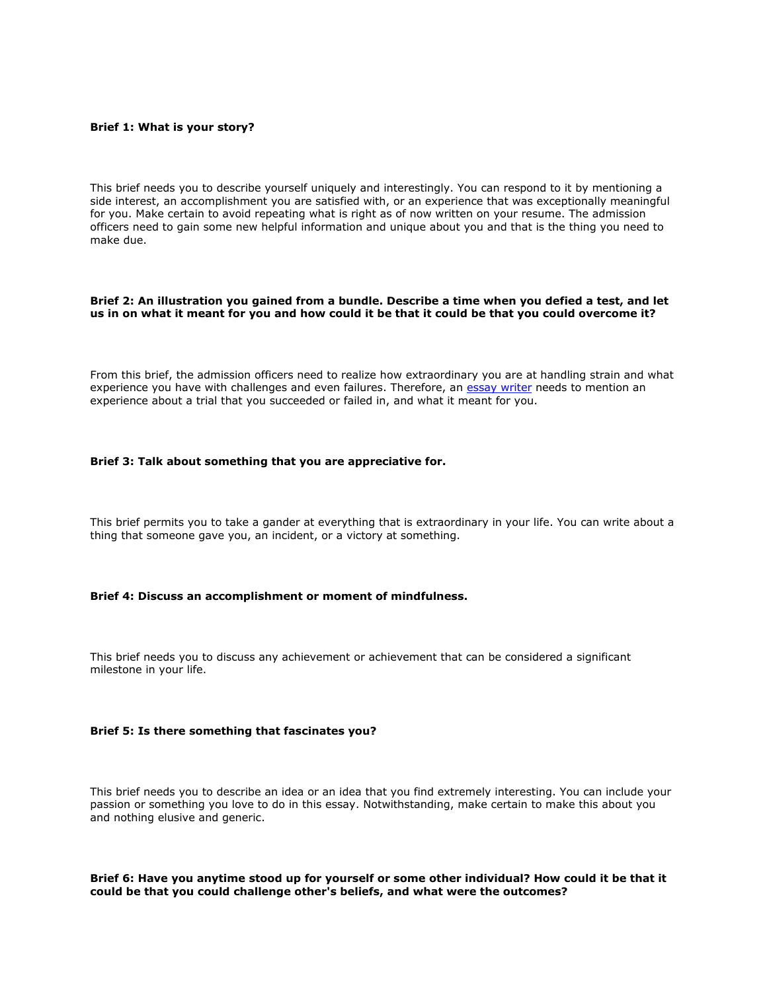## **Brief 1: What is your story?**

This brief needs you to describe yourself uniquely and interestingly. You can respond to it by mentioning a side interest, an accomplishment you are satisfied with, or an experience that was exceptionally meaningful for you. Make certain to avoid repeating what is right as of now written on your resume. The admission officers need to gain some new helpful information and unique about you and that is the thing you need to make due.

# **Brief 2: An illustration you gained from a bundle. Describe a time when you defied a test, and let us in on what it meant for you and how could it be that it could be that you could overcome it?**

From this brief, the admission officers need to realize how extraordinary you are at handling strain and what experience you have with challenges and even failures. Therefore, an [essay writer](https://essaywriternow.com/) needs to mention an experience about a trial that you succeeded or failed in, and what it meant for you.

# **Brief 3: Talk about something that you are appreciative for.**

This brief permits you to take a gander at everything that is extraordinary in your life. You can write about a thing that someone gave you, an incident, or a victory at something.

# **Brief 4: Discuss an accomplishment or moment of mindfulness.**

This brief needs you to discuss any achievement or achievement that can be considered a significant milestone in your life.

#### **Brief 5: Is there something that fascinates you?**

This brief needs you to describe an idea or an idea that you find extremely interesting. You can include your passion or something you love to do in this essay. Notwithstanding, make certain to make this about you and nothing elusive and generic.

# **Brief 6: Have you anytime stood up for yourself or some other individual? How could it be that it could be that you could challenge other's beliefs, and what were the outcomes?**